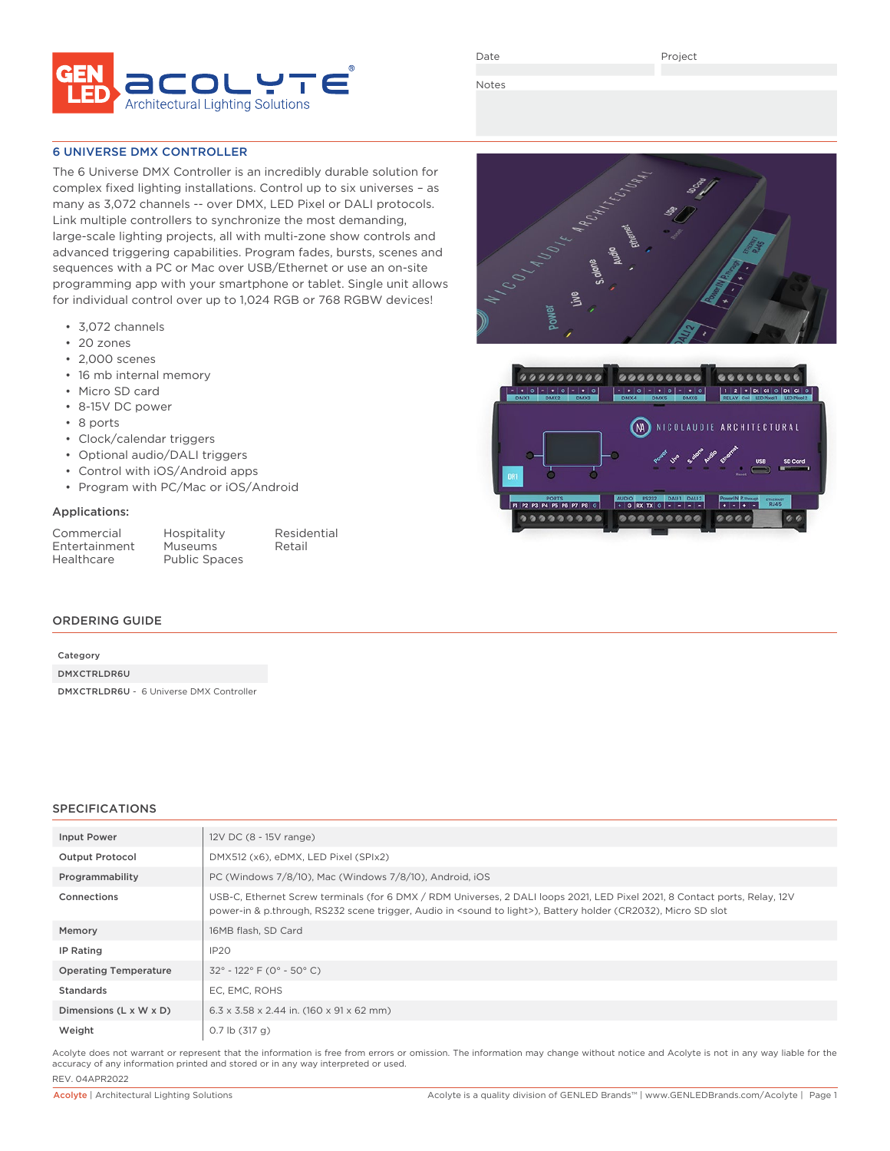

Date

Project

Notes

### 6 UNIVERSE DMX CONTROLLER

The 6 Universe DMX Controller is an incredibly durable solution for complex fixed lighting installations. Control up to six universes – as many as 3,072 channels -- over DMX, LED Pixel or DALI protocols. Link multiple controllers to synchronize the most demanding, large-scale lighting projects, all with multi-zone show controls and advanced triggering capabilities. Program fades, bursts, scenes and sequences with a PC or Mac over USB/Ethernet or use an on-site programming app with your smartphone or tablet. Single unit allows for individual control over up to 1,024 RGB or 768 RGBW devices!

- 3,072 channels
- 20 zones
- 2,000 scenes
- 16 mb internal memory
- Micro SD card
- 8-15V DC power
- 8 ports
- Clock/calendar triggers
- Optional audio/DALI triggers
- Control with iOS/Android apps
- Program with PC/Mac or iOS/Android

#### Applications:

| Commercial    |
|---------------|
| Entertainment |
| Healthcare    |

Hospitality Residential<br>
Museums Retail Museums<sup>1</sup> Public Spaces

#### ORDERING GUIDE

| Category    |  |
|-------------|--|
| DMXCTRLDR6U |  |

DMXCTRLDR6U - 6 Universe DMX Controller

#### SPECIFICATIONS

| <b>Input Power</b>           | 12V DC (8 - 15V range)                                                                                                                                                                                                                                    |
|------------------------------|-----------------------------------------------------------------------------------------------------------------------------------------------------------------------------------------------------------------------------------------------------------|
| <b>Output Protocol</b>       | DMX512 (x6), eDMX, LED Pixel (SPIx2)                                                                                                                                                                                                                      |
| Programmability              | PC (Windows 7/8/10), Mac (Windows 7/8/10), Android, iOS                                                                                                                                                                                                   |
| Connections                  | USB-C, Ethernet Screw terminals (for 6 DMX / RDM Universes, 2 DALI loops 2021, LED Pixel 2021, 8 Contact ports, Relay, 12V<br>power-in & p.through, RS232 scene trigger, Audio in <sound light="" to="">), Battery holder (CR2032), Micro SD slot</sound> |
| Memory                       | 16MB flash, SD Card                                                                                                                                                                                                                                       |
| IP Rating                    | IP20                                                                                                                                                                                                                                                      |
| <b>Operating Temperature</b> | $32^{\circ}$ - 122° F (0° - 50° C)                                                                                                                                                                                                                        |
| Standards                    | EC, EMC, ROHS                                                                                                                                                                                                                                             |
| Dimensions (L x W x D)       | $6.3 \times 3.58 \times 2.44$ in. (160 x 91 x 62 mm)                                                                                                                                                                                                      |
| Weight                       | $0.7$ lb $(317 g)$                                                                                                                                                                                                                                        |

Acolyte does not warrant or represent that the information is free from errors or omission. The information may change without notice and Acolyte is not in any way liable for the accuracy of any information printed and stored or in any way interpreted or used.



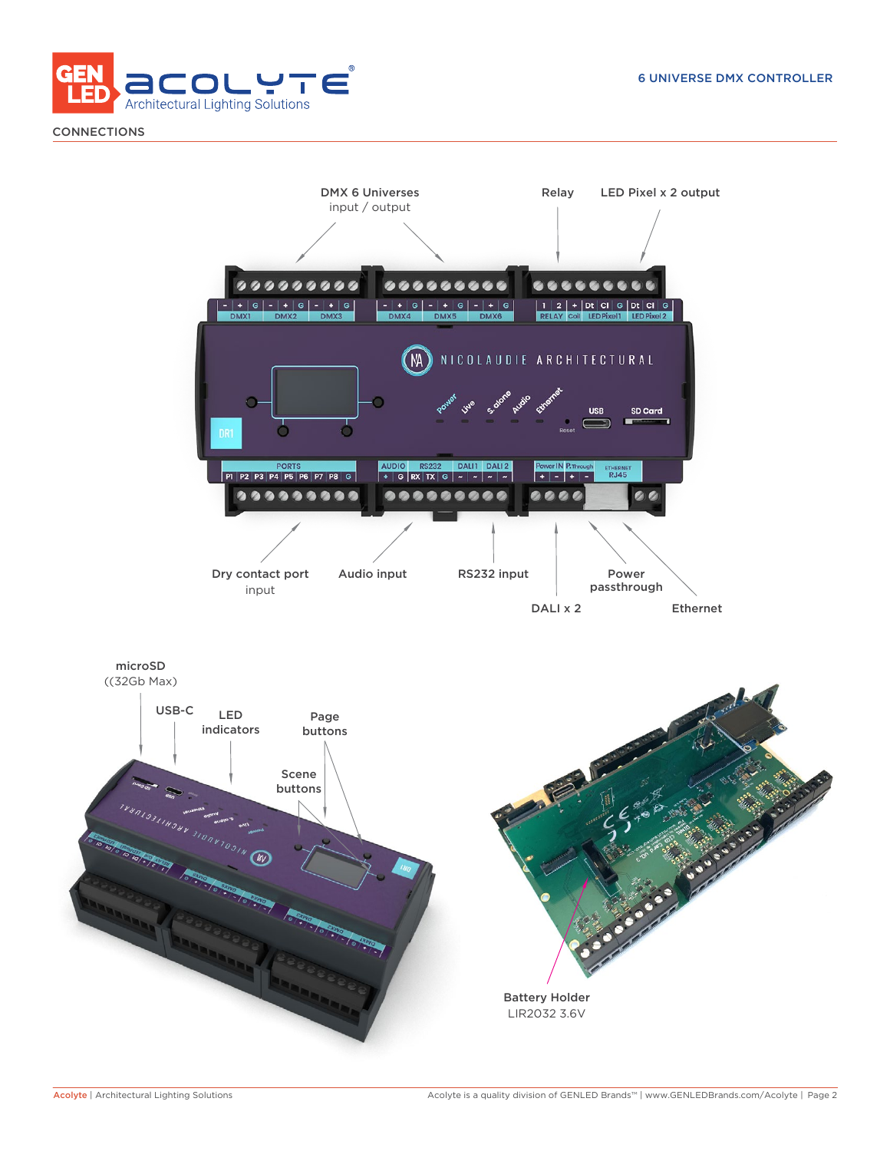

**CONNECTIONS** 

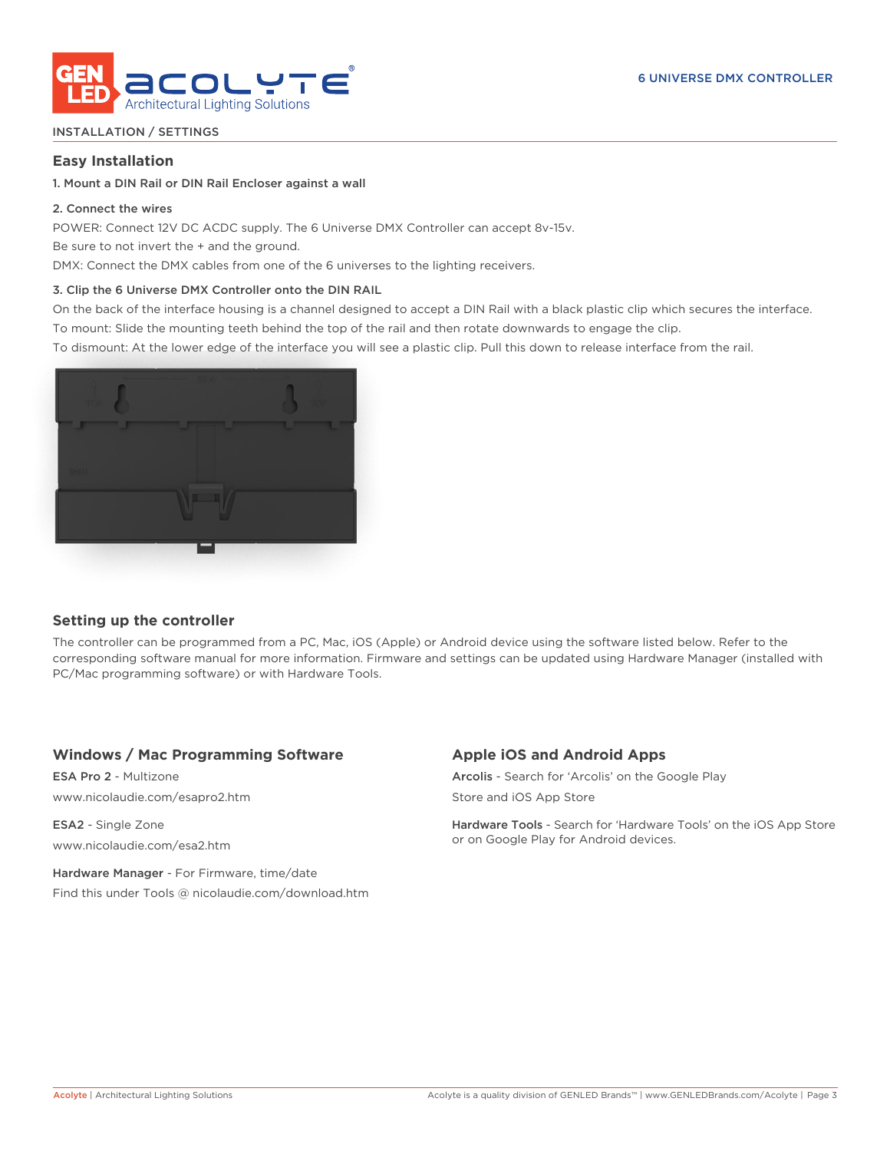

### INSTALLATION / SETTINGS

### **Easy Installation**

### 1. Mount a DIN Rail or DIN Rail Encloser against a wall

### 2. Connect the wires

POWER: Connect 12V DC ACDC supply. The 6 Universe DMX Controller can accept 8v-15v.

Be sure to not invert the + and the ground.

DMX: Connect the DMX cables from one of the 6 universes to the lighting receivers.

### 3. Clip the 6 Universe DMX Controller onto the DIN RAIL

On the back of the interface housing is a channel designed to accept a DIN Rail with a black plastic clip which secures the interface. To mount: Slide the mounting teeth behind the top of the rail and then rotate downwards to engage the clip.

To dismount: At the lower edge of the interface you will see a plastic clip. Pull this down to release interface from the rail.



# **Setting up the controller**

The controller can be programmed from a PC, Mac, iOS (Apple) or Android device using the software listed below. Refer to the corresponding software manual for more information. Firmware and settings can be updated using Hardware Manager (installed with PC/Mac programming software) or with Hardware Tools.

# **Windows / Mac Programming Software**

ESA Pro 2 - Multizone www.nicolaudie.com/esapro2.htm

ESA2 - Single Zone www.nicolaudie.com/esa2.htm

Hardware Manager - For Firmware, time/date Find this under Tools @ nicolaudie.com/download.htm

# **Apple iOS and Android Apps**

Arcolis - Search for 'Arcolis' on the Google Play Store and iOS App Store

Hardware Tools - Search for 'Hardware Tools' on the iOS App Store or on Google Play for Android devices.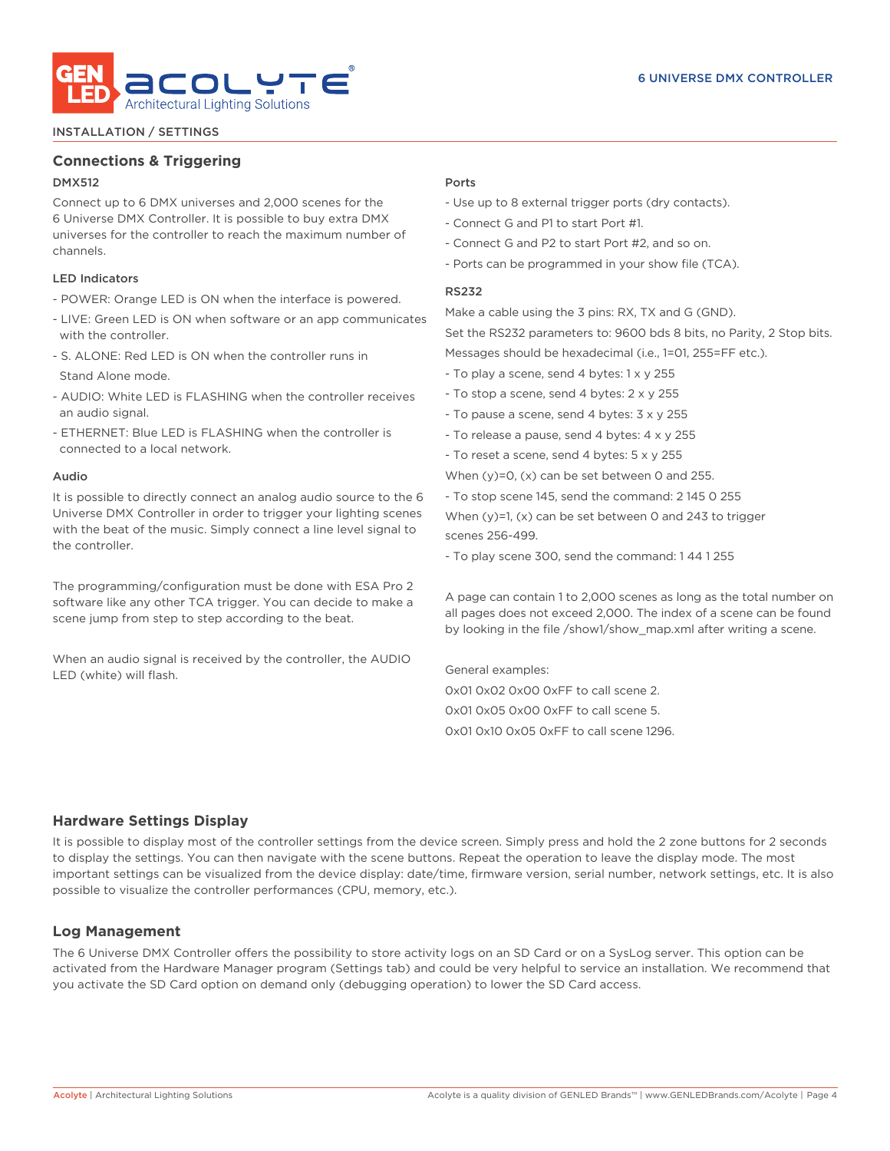

#### INSTALLATION / SETTINGS

## **Connections & Triggering**

### DMX512

Connect up to 6 DMX universes and 2,000 scenes for the 6 Universe DMX Controller. It is possible to buy extra DMX universes for the controller to reach the maximum number of channels.

### LED Indicators

- POWER: Orange LED is ON when the interface is powered.
- LIVE: Green LED is ON when software or an app communicates with the controller.
- S. ALONE: Red LED is ON when the controller runs in Stand Alone mode.
- AUDIO: White LED is FLASHING when the controller receives an audio signal.
- ETHERNET: Blue LED is FLASHING when the controller is connected to a local network.

#### Audio

It is possible to directly connect an analog audio source to the 6 Universe DMX Controller in order to trigger your lighting scenes with the beat of the music. Simply connect a line level signal to the controller.

The programming/configuration must be done with ESA Pro 2 software like any other TCA trigger. You can decide to make a scene jump from step to step according to the beat.

When an audio signal is received by the controller, the AUDIO LED (white) will flash.

#### Ports

- Use up to 8 external trigger ports (dry contacts).
- Connect G and P1 to start Port #1.
- Connect G and P2 to start Port #2, and so on.
- Ports can be programmed in your show file (TCA).

#### RS232

Make a cable using the 3 pins: RX, TX and G (GND).

Set the RS232 parameters to: 9600 bds 8 bits, no Parity, 2 Stop bits. Messages should be hexadecimal (i.e., 1=01, 255=FF etc.).

- To play a scene, send 4 bytes: 1 x y 255
- To stop a scene, send 4 bytes: 2 x y 255
- To pause a scene, send 4 bytes: 3 x y 255
- To release a pause, send 4 bytes: 4 x y 255
- To reset a scene, send 4 bytes: 5 x y 255
- When (y)=0, (x) can be set between 0 and 255.
- To stop scene 145, send the command: 2 145 0 255

When (y)=1, (x) can be set between 0 and 243 to trigger scenes 256-499.

- To play scene 300, send the command: 1 44 1 255

A page can contain 1 to 2,000 scenes as long as the total number on all pages does not exceed 2,000. The index of a scene can be found by looking in the file /show1/show\_map.xml after writing a scene.

General examples: 0x01 0x02 0x00 0xFF to call scene 2. 0x01 0x05 0x00 0xFF to call scene 5. 0x01 0x10 0x05 0xFF to call scene 1296.

### **Hardware Settings Display**

It is possible to display most of the controller settings from the device screen. Simply press and hold the 2 zone buttons for 2 seconds to display the settings. You can then navigate with the scene buttons. Repeat the operation to leave the display mode. The most important settings can be visualized from the device display: date/time, firmware version, serial number, network settings, etc. It is also possible to visualize the controller performances (CPU, memory, etc.).

## **Log Management**

The 6 Universe DMX Controller offers the possibility to store activity logs on an SD Card or on a SysLog server. This option can be activated from the Hardware Manager program (Settings tab) and could be very helpful to service an installation. We recommend that you activate the SD Card option on demand only (debugging operation) to lower the SD Card access.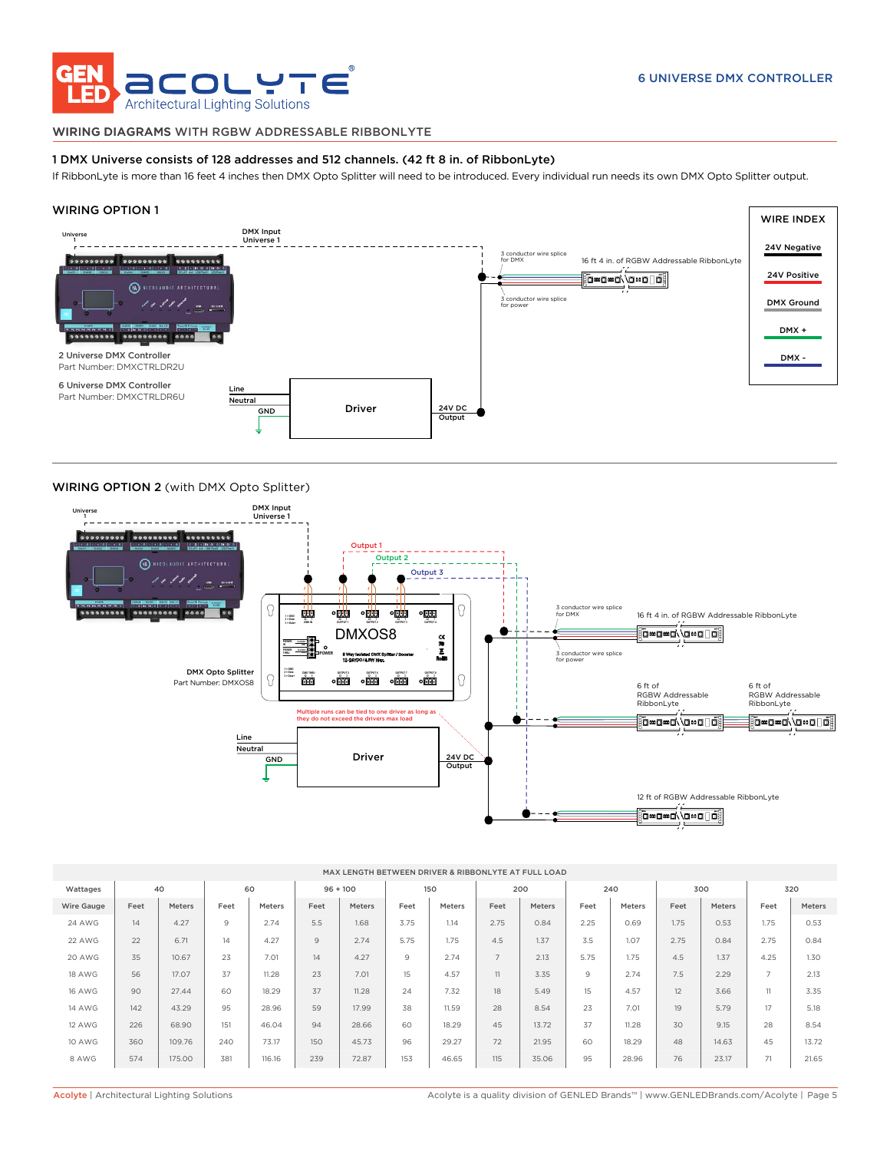

#### WIRING DIAGRAMS WITH RGBW ADDRESSABLE RIBBONLYTE

#### 1 DMX Universe consists of 128 addresses and 512 channels. (42 ft 8 in. of RibbonLyte)

If RibbonLyte is more than 16 feet 4 inches then DMX Opto Splitter will need to be introduced. Every individual run needs its own DMX Opto Splitter output.

#### WIRING OPTION 1



#### WIRING OPTION 2 (with DMX Opto Splitter)



| MAX LENGTH BETWEEN DRIVER & RIBBONLYTE AT FULL LOAD |      |        |      |        |            |        |      |        |                |        |      |        |      |        |                |               |
|-----------------------------------------------------|------|--------|------|--------|------------|--------|------|--------|----------------|--------|------|--------|------|--------|----------------|---------------|
| Wattages                                            | 40   |        | 60   |        | $96 + 100$ |        | 150  |        | 200            |        | 240  |        | 300  |        | 320            |               |
| Wire Gauge                                          | Feet | Meters | Feet | Meters | Feet       | Meters | Feet | Meters | Feet           | Meters | Feet | Meters | Feet | Meters | Feet           | <b>Meters</b> |
| <b>24 AWG</b>                                       | 14   | 4.27   | 9    | 2.74   | 5.5        | 1.68   | 3.75 | 1.14   | 2.75           | 0.84   | 2.25 | 0.69   | 1.75 | 0.53   | 1.75           | 0.53          |
| 22 AWG                                              | 22   | 6.71   | 14   | 4.27   | 9          | 2.74   | 5.75 | 1.75   | 4.5            | 1.37   | 3.5  | 1.07   | 2.75 | 0.84   | 2.75           | 0.84          |
| 20 AWG                                              | 35   | 10.67  | 23   | 7.01   | 14         | 4.27   | 9    | 2.74   | $\overline{7}$ | 2.13   | 5.75 | 1.75   | 4.5  | 1.37   | 4.25           | 1.30          |
| <b>18 AWG</b>                                       | 56   | 17.07  | 37   | 11.28  | 23         | 7.01   | 15   | 4.57   | 11             | 3.35   | 9    | 2.74   | 7.5  | 2.29   | $\overline{7}$ | 2.13          |
| <b>16 AWG</b>                                       | 90   | 27.44  | 60   | 18.29  | 37         | 11.28  | 24   | 7.32   | 18             | 5.49   | 15   | 4.57   | 12   | 3.66   | 11             | 3.35          |
| <b>14 AWG</b>                                       | 142  | 43.29  | 95   | 28.96  | 59         | 17.99  | 38   | 11.59  | 28             | 8.54   | 23   | 7.01   | 19   | 5.79   | 17             | 5.18          |
| 12 AWG                                              | 226  | 68.90  | 151  | 46.04  | 94         | 28.66  | 60   | 18.29  | 45             | 13.72  | 37   | 11.28  | 30   | 9.15   | 28             | 8.54          |
| 10 AWG                                              | 360  | 109.76 | 240  | 73.17  | 150        | 45.73  | 96   | 29.27  | 72             | 21.95  | 60   | 18.29  | 48   | 14.63  | 45             | 13.72         |
| 8 AWG                                               | 574  | 175.00 | 381  | 116.16 | 239        | 72.87  | 153  | 46.65  | 115            | 35.06  | 95   | 28.96  | 76   | 23.17  | 71             | 21.65         |